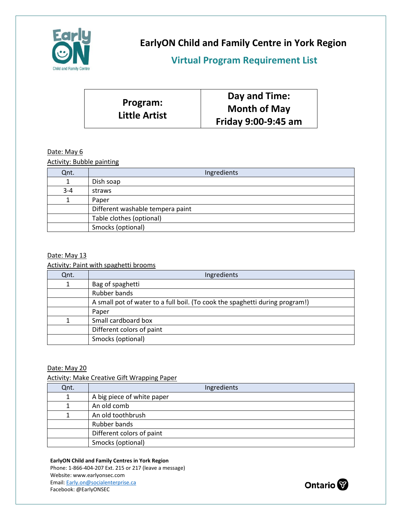

**EarlyON Child and Family Centre in York Region**

**Virtual Program Requirement List** 

|                                  | Day and Time:       |
|----------------------------------|---------------------|
| Program:<br><b>Little Artist</b> | <b>Month of May</b> |
|                                  | Friday 9:00-9:45 am |

## Date: May 6

Activity: Bubble painting

| Qnt.    | Ingredients                      |
|---------|----------------------------------|
|         | Dish soap                        |
| $3 - 4$ | straws                           |
|         | Paper                            |
|         | Different washable tempera paint |
|         | Table clothes (optional)         |
|         | Smocks (optional)                |

#### Date: May 13

Activity: Paint with spaghetti brooms

| Qnt. | Ingredients                                                                  |
|------|------------------------------------------------------------------------------|
|      | Bag of spaghetti                                                             |
|      | Rubber bands                                                                 |
|      | A small pot of water to a full boil. (To cook the spaghetti during program!) |
|      | Paper                                                                        |
|      | Small cardboard box                                                          |
|      | Different colors of paint                                                    |
|      | Smocks (optional)                                                            |

## Date: May 20

Activity: Make Creative Gift Wrapping Paper

| Qnt. | Ingredients                |
|------|----------------------------|
|      | A big piece of white paper |
|      | An old comb                |
|      | An old toothbrush          |
|      | Rubber bands               |
|      | Different colors of paint  |
|      | Smocks (optional)          |

#### **EarlyON Child and Family Centres in York Region**

Phone: 1-866-404-207 Ext. 215 or 217 (leave a message) Website: www.earlyonsec.com Email[: Early.on@socialenterprise.ca](mailto:Early.on@socialenterprise.ca) Facebook: @EarlyONSEC